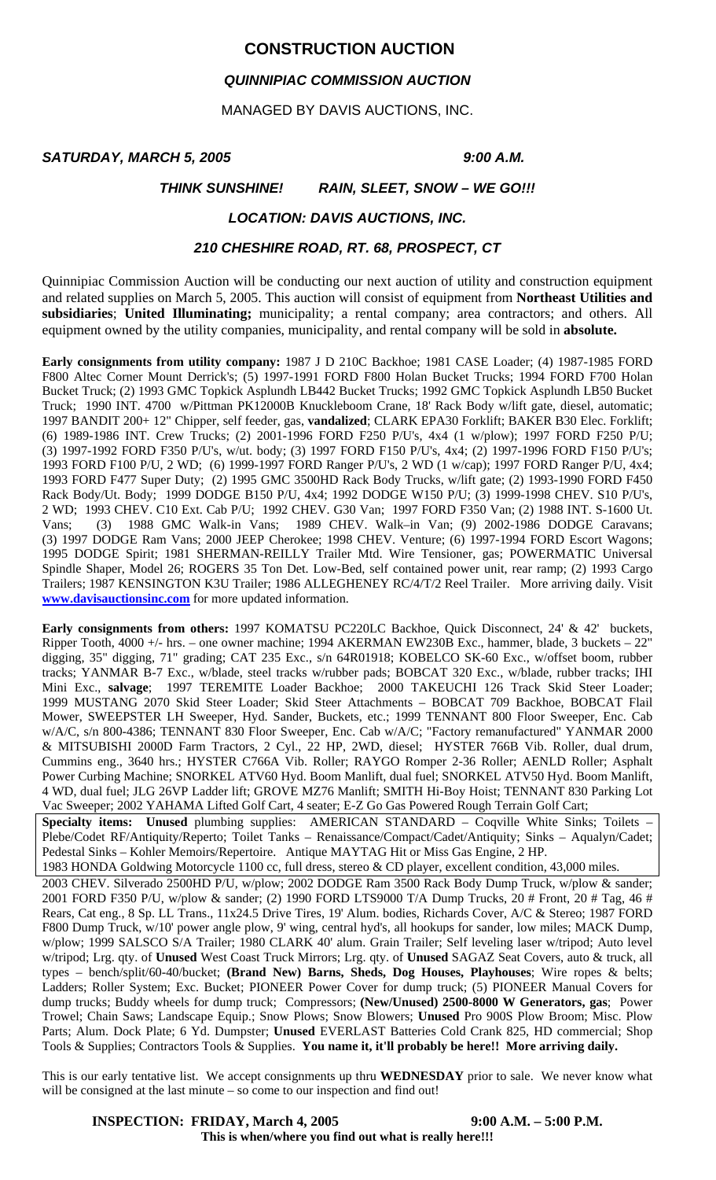# **CONSTRUCTION AUCTION**

# *QUINNIPIAC COMMISSION AUCTION*

MANAGED BY DAVIS AUCTIONS, INC.

### *SATURDAY, MARCH 5, 2005 9:00 A.M.*

# *THINK SUNSHINE! RAIN, SLEET, SNOW – WE GO!!!*

## *LOCATION: DAVIS AUCTIONS, INC.*

### *210 CHESHIRE ROAD, RT. 68, PROSPECT, CT*

Quinnipiac Commission Auction will be conducting our next auction of utility and construction equipment and related supplies on March 5, 2005. This auction will consist of equipment from **Northeast Utilities and subsidiaries**; **United Illuminating;** municipality; a rental company; area contractors; and others. All equipment owned by the utility companies, municipality, and rental company will be sold in **absolute.** 

**Early consignments from utility company:** 1987 J D 210C Backhoe; 1981 CASE Loader; (4) 1987-1985 FORD F800 Altec Corner Mount Derrick's; (5) 1997-1991 FORD F800 Holan Bucket Trucks; 1994 FORD F700 Holan Bucket Truck; (2) 1993 GMC Topkick Asplundh LB442 Bucket Trucks; 1992 GMC Topkick Asplundh LB50 Bucket Truck; 1990 INT. 4700 w/Pittman PK12000B Knuckleboom Crane, 18' Rack Body w/lift gate, diesel, automatic; 1997 BANDIT 200+ 12" Chipper, self feeder, gas, **vandalized**; CLARK EPA30 Forklift; BAKER B30 Elec. Forklift; (6) 1989-1986 INT. Crew Trucks; (2) 2001-1996 FORD F250 P/U's, 4x4 (1 w/plow); 1997 FORD F250 P/U; (3) 1997-1992 FORD F350 P/U's, w/ut. body; (3) 1997 FORD F150 P/U's, 4x4; (2) 1997-1996 FORD F150 P/U's; 1993 FORD F100 P/U, 2 WD; (6) 1999-1997 FORD Ranger P/U's, 2 WD (1 w/cap); 1997 FORD Ranger P/U, 4x4; 1993 FORD F477 Super Duty; (2) 1995 GMC 3500HD Rack Body Trucks, w/lift gate; (2) 1993-1990 FORD F450 Rack Body/Ut. Body; 1999 DODGE B150 P/U, 4x4; 1992 DODGE W150 P/U; (3) 1999-1998 CHEV. S10 P/U's, 2 WD; 1993 CHEV. C10 Ext. Cab P/U; 1992 CHEV. G30 Van; 1997 FORD F350 Van; (2) 1988 INT. S-1600 Ut. Vans; (3) 1988 GMC Walk-in Vans; 1989 CHEV. Walk–in Van; (9) 2002-1986 DODGE Caravans; (3) 1997 DODGE Ram Vans; 2000 JEEP Cherokee; 1998 CHEV. Venture; (6) 1997-1994 FORD Escort Wagons; 1995 DODGE Spirit; 1981 SHERMAN-REILLY Trailer Mtd. Wire Tensioner, gas; POWERMATIC Universal Spindle Shaper, Model 26; ROGERS 35 Ton Det. Low-Bed, self contained power unit, rear ramp; (2) 1993 Cargo Trailers; 1987 KENSINGTON K3U Trailer; 1986 ALLEGHENEY RC/4/T/2 Reel Trailer. More arriving daily. Visit **www.davisauctionsinc.com** for more updated information.

**Early consignments from others:** 1997 KOMATSU PC220LC Backhoe, Quick Disconnect, 24' & 42' buckets, Ripper Tooth, 4000 +/- hrs. – one owner machine; 1994 AKERMAN EW230B Exc., hammer, blade, 3 buckets – 22" digging, 35" digging, 71" grading; CAT 235 Exc., s/n 64R01918; KOBELCO SK-60 Exc., w/offset boom, rubber tracks; YANMAR B-7 Exc., w/blade, steel tracks w/rubber pads; BOBCAT 320 Exc., w/blade, rubber tracks; IHI Mini Exc., **salvage**; 1997 TEREMITE Loader Backhoe; 2000 TAKEUCHI 126 Track Skid Steer Loader; 1999 MUSTANG 2070 Skid Steer Loader; Skid Steer Attachments – BOBCAT 709 Backhoe, BOBCAT Flail Mower, SWEEPSTER LH Sweeper, Hyd. Sander, Buckets, etc.; 1999 TENNANT 800 Floor Sweeper, Enc. Cab w/A/C, s/n 800-4386; TENNANT 830 Floor Sweeper, Enc. Cab w/A/C; "Factory remanufactured" YANMAR 2000 & MITSUBISHI 2000D Farm Tractors, 2 Cyl., 22 HP, 2WD, diesel; HYSTER 766B Vib. Roller, dual drum, Cummins eng., 3640 hrs.; HYSTER C766A Vib. Roller; RAYGO Romper 2-36 Roller; AENLD Roller; Asphalt Power Curbing Machine; SNORKEL ATV60 Hyd. Boom Manlift, dual fuel; SNORKEL ATV50 Hyd. Boom Manlift, 4 WD, dual fuel; JLG 26VP Ladder lift; GROVE MZ76 Manlift; SMITH Hi-Boy Hoist; TENNANT 830 Parking Lot Vac Sweeper; 2002 YAHAMA Lifted Golf Cart, 4 seater; E-Z Go Gas Powered Rough Terrain Golf Cart;

**Specialty items: Unused** plumbing supplies: AMERICAN STANDARD – Coqville White Sinks; Toilets – Plebe/Codet RF/Antiquity/Reperto; Toilet Tanks – Renaissance/Compact/Cadet/Antiquity; Sinks – Aqualyn/Cadet; Pedestal Sinks – Kohler Memoirs/Repertoire. Antique MAYTAG Hit or Miss Gas Engine, 2 HP.

1983 HONDA Goldwing Motorcycle 1100 cc, full dress, stereo & CD player, excellent condition, 43,000 miles. 2003 CHEV. Silverado 2500HD P/U, w/plow; 2002 DODGE Ram 3500 Rack Body Dump Truck, w/plow & sander; 2001 FORD F350 P/U, w/plow & sander; (2) 1990 FORD LTS9000 T/A Dump Trucks, 20 # Front, 20 # Tag, 46 # Rears, Cat eng., 8 Sp. LL Trans., 11x24.5 Drive Tires, 19' Alum. bodies, Richards Cover, A/C & Stereo; 1987 FORD F800 Dump Truck, w/10' power angle plow, 9' wing, central hyd's, all hookups for sander, low miles; MACK Dump, w/plow; 1999 SALSCO S/A Trailer; 1980 CLARK 40' alum. Grain Trailer; Self leveling laser w/tripod; Auto level w/tripod; Lrg. qty. of **Unused** West Coast Truck Mirrors; Lrg. qty. of **Unused** SAGAZ Seat Covers, auto & truck, all types – bench/split/60-40/bucket; **(Brand New) Barns, Sheds, Dog Houses, Playhouses**; Wire ropes & belts; Ladders; Roller System; Exc. Bucket; PIONEER Power Cover for dump truck; (5) PIONEER Manual Covers for dump trucks; Buddy wheels for dump truck; Compressors; **(New/Unused) 2500-8000 W Generators, gas**; Power Trowel; Chain Saws; Landscape Equip.; Snow Plows; Snow Blowers; **Unused** Pro 900S Plow Broom; Misc. Plow Parts; Alum. Dock Plate; 6 Yd. Dumpster; **Unused** EVERLAST Batteries Cold Crank 825, HD commercial; Shop Tools & Supplies; Contractors Tools & Supplies. **You name it, it'll probably be here!! More arriving daily.**

This is our early tentative list. We accept consignments up thru **WEDNESDAY** prior to sale. We never know what will be consigned at the last minute – so come to our inspection and find out!

# **INSPECTION: FRIDAY, March 4, 2005** 9:00 A.M. – 5:00 P.M.

**This is when/where you find out what is really here!!!**